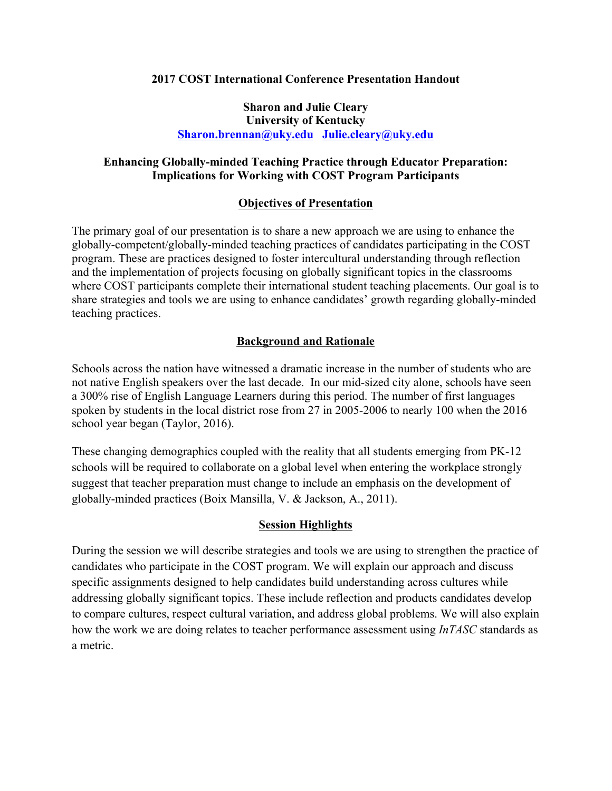## **2017 COST International Conference Presentation Handout**

## **Sharon and Julie Cleary University of Kentucky Sharon.brennan@uky.edu Julie.cleary@uky.edu**

# **Enhancing Globally-minded Teaching Practice through Educator Preparation: Implications for Working with COST Program Participants**

# **Objectives of Presentation**

The primary goal of our presentation is to share a new approach we are using to enhance the globally-competent/globally-minded teaching practices of candidates participating in the COST program. These are practices designed to foster intercultural understanding through reflection and the implementation of projects focusing on globally significant topics in the classrooms where COST participants complete their international student teaching placements. Our goal is to share strategies and tools we are using to enhance candidates' growth regarding globally-minded teaching practices.

# **Background and Rationale**

Schools across the nation have witnessed a dramatic increase in the number of students who are not native English speakers over the last decade. In our mid-sized city alone, schools have seen a 300% rise of English Language Learners during this period. The number of first languages spoken by students in the local district rose from 27 in 2005-2006 to nearly 100 when the 2016 school year began (Taylor, 2016).

These changing demographics coupled with the reality that all students emerging from PK-12 schools will be required to collaborate on a global level when entering the workplace strongly suggest that teacher preparation must change to include an emphasis on the development of globally-minded practices (Boix Mansilla, V. & Jackson, A., 2011).

# **Session Highlights**

During the session we will describe strategies and tools we are using to strengthen the practice of candidates who participate in the COST program. We will explain our approach and discuss specific assignments designed to help candidates build understanding across cultures while addressing globally significant topics. These include reflection and products candidates develop to compare cultures, respect cultural variation, and address global problems. We will also explain how the work we are doing relates to teacher performance assessment using *InTASC* standards as a metric.